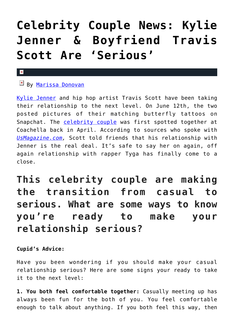## **[Celebrity Couple News: Kylie](https://cupidspulse.com/119132/celebrity-couple-news-kylie-jenner-boyfriend-travis-scott-serious/) [Jenner & Boyfriend Travis](https://cupidspulse.com/119132/celebrity-couple-news-kylie-jenner-boyfriend-travis-scott-serious/) [Scott Are 'Serious'](https://cupidspulse.com/119132/celebrity-couple-news-kylie-jenner-boyfriend-travis-scott-serious/)**

## $\mathbf x$

## $\mathbb{E}$  By [Marissa Donovan](http://cupidspulse.com/118743/marissa-donovan/)

[Kylie Jenner](http://cupidspulse.com/86091/kylie-jenner/) and hip hop artist Travis Scott have been taking their relationship to the next level. On June 12th, the two posted pictures of their matching butterfly tattoos on Snapchat. The [celebrity couple](http://cupidspulse.com/celebrity-news/celebrity-dating/) was first spotted together at Coachella back in April. According to sources who spoke with *[UsMagazine.com,](http://www.usmagazine.com/celebrity-news/news/kylie-jenner-and-travis-scott-are-serious-w488229)* Scott told friends that his relationship with Jenner is the real deal. It's safe to say her on again, off again relationship with rapper Tyga has finally come to a close.

**This celebrity couple are making the transition from casual to serious. What are some ways to know you're ready to make your relationship serious?**

## **Cupid's Advice:**

Have you been wondering if you should make your casual relationship serious? Here are some signs your ready to take it to the next level:

**1. You both feel comfortable together:** Casually meeting up has always been fun for the both of you. You feel comfortable enough to talk about anything. If you both feel this way, then